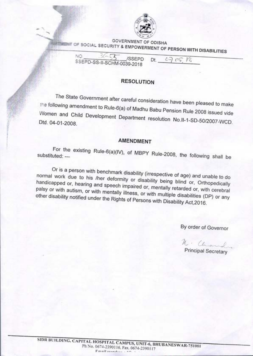

# **F SOCIAL SECURITY & EMPOWERMENT OF PERSON WITH A FAMILY & EMPOWERMENT OF PERSON WITH A FAMILY AND A FAMILY SEPD** Dt. <u>CA CA CA CA</u> **GOVERNMENT OF ODISHA** "MT **OF SOCIAL SECURITY** & **EMPOWERMENT OF PERSON WITH DISABILITIES**

NO 365 /SSEPD<br>SSEPD-SS-II-SCHM-0039-2018

## **RESOLUTION**

The State Government after careful consideration have been pleased to make me following amendment to Rule-6(a) of Madhu Babu Pension Rule 2008 issued vide Women and Child Development Department resolution No.ll-1-SD-50/2007-WCO. Dtd. 04-01-2008.

## **AMENDMENT**

For the existing Rule-6(a)(IV), of MBPY Rule-2008, the following shall be substituted: ---

Or is a person with benchmark disability (irrespective of age) and unable to do normal work due to his /her deformity or disability being blind or, Orthopedically handicapped or, hearing and speech impaired or, mentally retarded or, with cerebral palsy or with autism, or with mentally illness, or with multiple disabilities (DP) or any other disability notified under the Rights of Persons with Disability Act,2016.

By order of Governor

 $\mathcal{U}$  · Chand

Principal Secretary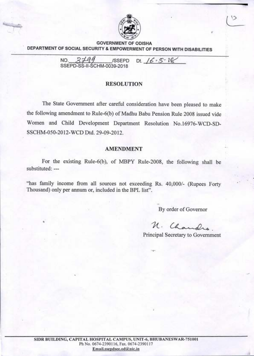

> $3799$ NO. /SSEPD SSEPD-SS-II-SCHM-0039-2018

 $Dt$  /6.5.18

13

#### **RESOLUTION**

The State Government after careful consideration have been pleased to make the following amendment to Rule-6(b) of Madhu Babu Pension Rule 2008 issued vide Women and Child Development Department Resolution No.16976-WCD-SD-SSCHM-050-2012-WCD Dtd. 29-09-2012.

#### **AMENDMENT**

For the existing Rule-6(b), of MBPY Rule-2008, the following shall be substituted: ---

"has family income from all sources not exceeding Rs. 40,000/- (Rupees Forty Thousand) only per annum or, included in the BPL list".

By order of Governor

N. Chandre

Principal Secretary to Government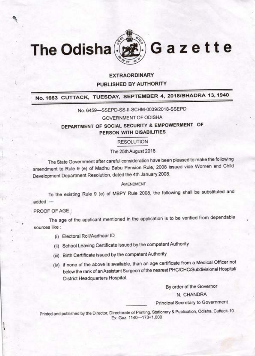

#### **EXTRAORDINARY**

**PUBLISHED BY AUTHORITY**

# **No.1663 CUTTACK, TUESDAY, SEPTEMBER 4, 2018/BHADRA 13, 1940**

No. 6459-SSEPD-SS-II-SCHM-0039/2018-SSEPD

GOVERNMENT OF ODISHA

**DEPARTMENT OF SOCIAL SECURITY & EMPOWERMENT OF PERSON WITH DISABILITIES**

#### RESOLUTION

#### The 25th August 2018

The State Government after careful consideration have been pleased to make the following amendment to Rule 9 (e) of Madhu Babu Pension Rule, 2008 issued vide Women and Child Development Department Resolution, dated the 4th January 2008.

#### **AMENDMENT**

To the existing Rule <sup>9</sup> (e) of MBPY Rule 2008, the following shall be substituted and  $aded :=$ 

PROOF OF AGE :

I

\

' The age of the applicant mentioned in the application is to be verified from dependable sources like :

- (i) Electoral Roll/Aadhaar ID
- (ii) School Leaving Certificate issued by the competent Authority
- (iii) Birth Certificate issued by the competent Authority
- (iv) if none of the above is available, than an age certificate from <sup>a</sup> Medical Officer not below the rank of an Assistant Surgeon of the nearest PHC/CHC/Subdivisional Hospital/ District Headquarters Hospital.

By order of the Governor

#### **N. CHANDRA**

Principal Secretary to Government

Printed and published by the Director, Directorate of Printing, Stationery & Publication, Odisha, Cuttack-10 erectorate of Printing, Station<br>Ex. Gaz. 1140--173+1,000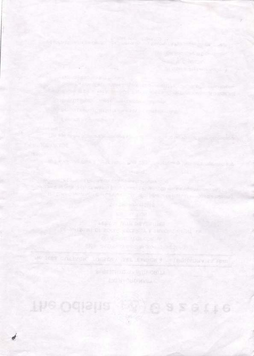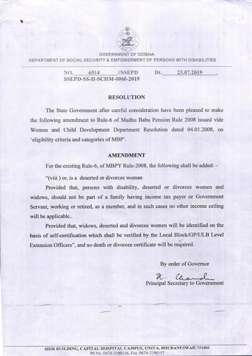

> **NO. 6514 //SSEPD SSEPD-SS-II-SCHM-0060-2019** D<sub>t.</sub>  $23.07.2019$

#### **RESOLUTION**

The State Government after careful consideration have been pleased to make the following amendment to Rule-6 of Madhu Babu Pension Rule 2008 issued vide Women and Child Development Department Resolution dated 04.01.2008, on 'eligibility criteria and categories of MBP'.

#### **AMENDMENT**

For the existing Rule-6, of MBPY Rule-2008, the following shall be added: -

"(viii) or, is a deserted or divorcee woman

Provided that, persons with disability, deserted or divorcee women and widows, should not be part of <sup>a</sup> family having income tax payer or Government Servant, working or retired, as a member, and in such cases no other income ceiling will be applicable..

Provided that, widows, deserted and divorcee women will be identified on the basis of self-certification which shall be verified by the Local Block/GP/ULB Level  $\frac{10}{2}$ Extension Officers", and no death or divorcee certificate will be required.

By order of Governor

By order of Governor<br>
W. Cleanche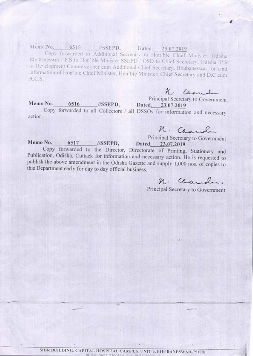Memo No.  $6515$ //SSEPD. Dated. 23.07.2019

Copy forwarded to Additional Secretary to Hon'ble Chief Minister, Odishu Bhubaneswar / P.S to Hon'ble Minister SSEPD / OSD to Chief Secretary, Odisha P.S. to Development Commissioner cum Additional Chief Secretary, Bhubaneswar for kind information of Hon'ble Chief Minister, Hon'ble Minister, Chief Secretary and D.C cum A.C.S.

n. Charles

Principal Secretary to Government Memo No. 6516 //SSEPD, Dated. 23.07.2019 Copy forwarded to all Collectors / all DSSOs for information and necessary action.

N. Chander

Principal Secretary to Government Memo No. 6517 //SSEPD, Dated. 23.07.2019 Copy forwarded to the Director, Directorate of Printing, Stationery and Publication, Odisha, Cuttack for information and necessary action. He is requested to publish the above amendment in the Odisha Gazette and supply 1,000 nos. of copies to this Department early for day to day official business.

n. Chander,

Principal Secretary to Government

SIDR BUILDING, CAPITAL HOSPITAL CAMPUS. UNIT-6, BHUBANESWAR-751001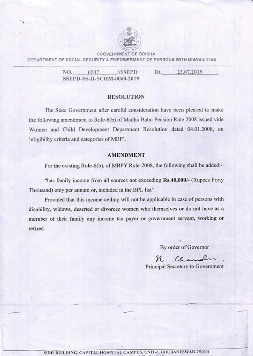

> **NO. 6547 //SSEPD** Dt. 23.07.2019 **SSEPD-SS-II-SCHM-0060-2019**

#### **RESOLUTION**

The State Government after careful consideration have been pleased to make the following amendment to Rule-6(b) of Madhu Babu Pension Rule 2008 issued vide Women and Child Development Department Resolution dated 04.01.2008, on 'eligibility criteria and categories of MBP'.

#### **AMENDMENT**

For the existing Rule-6(b), of MBPY Rule-2008, the following shall be added:-

"has family income from all sources not exceeding **Rs.40,000/-** (Rupees Forty Thousand) only per annum or, included in the BPL list".

Provided that this income ceiling will not be applicable in case of persons with disability, widows, deserted or divorcee women who themselves or do not have as a member of their family any income tax payer or government servant, working or retired. wing shall be adde<br>0,000/- (Rupees Fo<br>1 case of persons v<br>s or do not have a<br>servant, working<br>therefore of Governor<br>Concerned Covernor

By order of Governor

 $\mu$ .

-------

Princ ipal S ec retary to Government

 $-$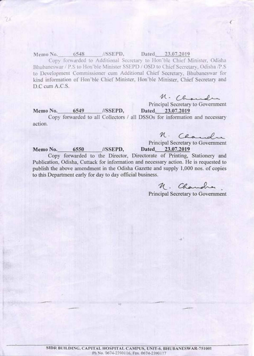**Memo No. 6548 //SSEPD, Dated. 23.07.2019** Copy forwarded to Additional Secretary to Hon'ble Chief Minister, Odisha Bhubaneswar / P.S to Hon'ble Minister SSEPD / OSD to Chief Secretary, Odisha /P.S to Development Commissioner cum Additional Chief Secretary, Bhubaneswar for kind information of Hon'ble Chief Minister, Hon'ble Minister, Chief Secretary and D.C cum A.C.S. 1.2019<br>hief Minister, Odisl<br>Secretary, Odisha /P<br>ary, Bhubaneswar f<br>r, Chief Secretary and<br>Creatary to Governme<br>1.2019 a

n.

Princ ipal Sec retary to Government **Memo No. 6549 //SSEPD, Dated. 23.07.2019**

Copy forwarded to all Collectors / all DSSOs for information and necessary action.

> $\mathcal{U}$ . Claudie

**Memo No. 6550 //SSEPD,** Principal Secretary to Government **e d . 2 3. 0 7. 2 0 19** Copy forwarded to the Director, Directorate of Printing, Stationery and Publication, Odisha, Cuttack for information and necessary action. He is requested to publish the above amendment in the Odisha Gazette and supply 1,000 nos. of copies to this Department early for day to day official business. •  $\frac{2019}{\text{ting}}$  Stationery<br>on. He is request<br>1,000 nos. of c<br>Channel retary to Govern

Principal Secretary to Government

··-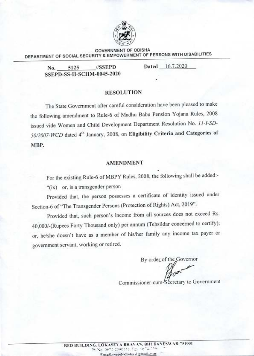

> **No. 5125 //SSEPD SSEPD-SS-II-SCHM-0045-2020**

**Dated** 16.7.2020

#### **RESOLUTION**

The State Government after careful consideration have been pleased to make the following amendment to Rule-6 of Madhu Babu Pension Yojana Rules, 2008 issued vide Women and Child Development Department Resolution No. *11-1-SD-50/2007-WCD* dated 4" January, 2008, on **Eligibility Criteria and Categories of MBP.**

#### **AMENDMENT**

For the existing Rule-6 of MBPY Rules, 2008, the following shall be added:-

"(ix) or, is a transgender person

Provided that, the person possesses a certificate of identity issued under Section-6 of "The Transgender Persons (Protection of Rights) Act, 2019".

Provided that, such person's income from aii sources does not exceed Rs. 40,000/-(Rupees Forty Thousand only) per annum (Tehsildar concerned to certify): or, he/she doesn't have as a member of his/her family any income tax payer or government servant, working or retired.

By order of the Governor

 $\mu$  of the Governe<br> $\mu$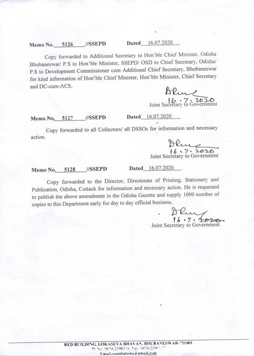#### //SSEPD Memo No. 5126

Copy forwarded to Additional Secretary to Hon'ble Chief Minister, Odisha Bhubaneswar/ P.S to Hon'ble Minister, SSEPD/ OSD to Chief Secretary, Odisha/ P.S to Development Commissioner cum Additional Chief Secretary, Bhubaneswar for kind information of Hon'ble Chief Minister, Hon'ble Minister, Chief Secretary and DC-cum-ACS.

Alme Joint Secretary to Government

#### //SSEPD Memo No. 5127

Dated 16.07.2020

Dated 16.07.2020

Copy forwarded to all Collectors/ all DSSOs for information and necessary action.

Deme<br>16.7.2020 Joint Secretary to Government

#### //SSEPD Memo No. 5128

Dated 16.07.2020

Copy forwarded to the Director, Directorate of Printing, Stationery and Publication, Odisha, Cuttack for information and necessary action. He is requested to publish the above amendment in the Odisha Gazette and supply 1000 number of copies to this Department early for day to day official business.

Joint Secretary to Government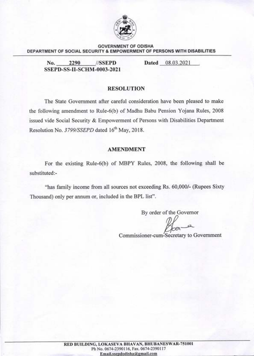

 $//$ SSEPD No. 2290 SSEPD-SS-II-SCHM-0003-2021 Dated 08.03.2021

#### **RESOLUTION**

The State Government after careful consideration have been pleased to make the following amendment to Rule-6(b) of Madhu Babu Pension Yojana Rules, 2008 issued vide Social Security & Empowerment of Persons with Disabilities Department Resolution No. 3799/SSEPD dated 16<sup>th</sup> May, 2018.

#### **AMENDMENT**

For the existing Rule-6(b) of MBPY Rules, 2008, the following shall be substituted:-

"has family income from all sources not exceeding Rs. 60,000/- (Rupees Sixty Thousand) only per annum or, included in the BPL list".

By order of the Governor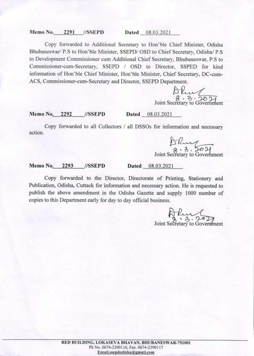#### **Memo No. 2291 //SSEPD Dated** 08.03.2021

Copy forwarded to Additional Secretary to Hon'ble Chief Minister, Odisha Bhubaneswar/ P.S to Hon'ble Minister, SSEPD/ OSD to Chief Secretary, Odisha/ P.S to Development Commissioner cum Additional Chief Secretary, Bhubaneswar, P.S to Commissioner-cum-Secretary, SSEPD *I* OSD to Director, SSPED for kind information of Hon'ble Chief Minister, Hon'ble Minister, Chief Secretary, DC-cum-ACS, Commissioner-cum-Secretary and Director, SSEPD Department. Director, SSPED for kind<br>ter, Chief Secretary, DC-cum-<br>D Department.<br> $R_{\text{rel}}$ <br>Joint Secretary to Government

#### **Memo No. 2292 //SSEPD Dated** 08.03.2021

Copy forwarded to all Collectors *I* all DSSOs for information and necessary action.

ecretary to Govern<br>1<br>transformation and neces<br>2<br>ceretary to Govern

#### Joint Se cretary to Goverhment

#### **Memo No. 2293 //SSEPD Dated** 08.03.2021

Copy forwarded to the Director, Directorate of Printing, Stationery and Publication, Odisha, Cuttack for information and necessary action. He is requested to publish the above amendment in the Odisha Gazette and supply 1000 number of copies to this Department early for day to day official business.

 $8.3.20$ Joint Secretary to Government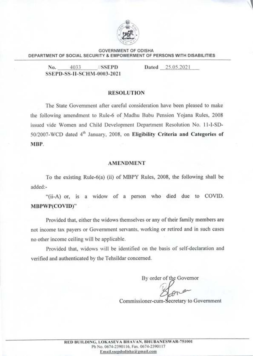

**No.** 4033 **//SSEPD SSEPD-SS-II-SCH M-0003-2021** **Dated** 25.05.2021

#### **RESOLUTION**

The State Government after careful consideration have been pleased to make the following amendment to Rule-6 of Madhu Babu Pension Yojana Rules, 2008 issued vide Women and Child Development Department Resolution No. l l-I-SD-50/2007-WCD dated 4" January, 2008, on **Eligibility Criteria and Categories of MBP.**

#### **AMENDMENT**

To the existing Rule-6(a) (ii) of MBPY Rules, 2008, the following shall be added:-

"(ii-A) or, is a widow of a person who died due to COVID. **MBPWP(COVID)"**

Provided that, either the widows themselves or any of their family members are not income tax payers or Government servants, working or retired and in such cases no other income ceiling will be applicable.

Provided that, widows will be identified on the basis of self-declaration and verified and authenticated by the Tehsildar concerned.

By order of the Governor<br> *gener*<br>
oner-cum-Secretary to Go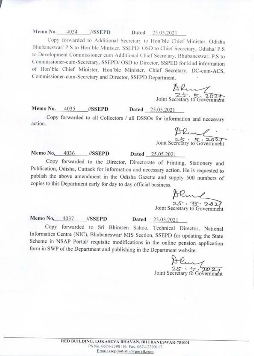## Memo No. 4034 //SSEPD Dated 25.05.2021

Copy forwarded to Additional Secretary to Hon'ble Chief Minister, Odisha Bhubaneswar/ P.S to Hon'ble Minister, SSEPD OSD to Chief Secretary, Odisha/ P.S. to Development Commissioner cum Additional Chief Secretary. Bhubaneswar. P.S to Commissioner-cum-Secretary, SSEPD/ OSD to Director, SSPED for kind information of Hon ble Chief Minister. Hon ble Minister. Chief Secretary, DC-cum-ACS, Commissioner-cum-Secretary and Director, SSEPD Department.

2<br>Joint Secretary to Government

## **Memo No.** 4035 **//SSEPD**

*r*

**Dated** 25.05.2021

action. Copy forwarded to all Collectors / all DSSOs for information and necessary

*<del>22021</del>*<br>Joint Secretary to Government

#### **Memo No.** 4036 **//SSEPD**

**Dated** 25.05.2021

Copy forwarded to the Director, Directorate of Printing, Stationery and Publication, Odisha, Cuttack for information and necessary action. He is requested to publish the above amendment in the Odisha Gazette and supply 500 numbers of copies to this Department early for day to day official business.

*ARMA<br>25 . 5 . 202j*<br>Joint Secretary to Government

## **Memo No.** 4037 **//SSEPD**

**Dated** 25.05.2021

Copy forwarded to Sri Bhimsen Sahoo. Technical Director, National Informatics Centre (NIC), Bhubaneswar/ MIS Section, SSEPD for updating the State Scheme in NSAP Portal/ requisite modifications in the online pension application form in SWP of the Department and publishing in the Department website.

A<br>Doint Secretary <del>6</del> Government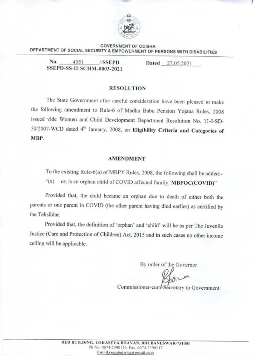

**No.** 4051 **//SSEPD SSEPD-SS-II-SCHM-0003-2021**

**Dated** 27.05.2021

#### **RESOLUTION**

The State Government after careful consideration have been pleased to make the following amendment to Rule-6 of Madhu Babu Pension Yojana Rules, 2008 issued vide Women and Child Development Department Resolution No. ll-I-SD-50/2007-WCD dated 4" January, 2008, on **Eligibility Criteria and Categories of MBP.**

## **AMENDMENT**

To the existing Rule-6(a) of MBPY Rules, 2008. the following shall be added:-

"(x) or, is an orphan child of COVID affected family. **MBPOC(COVID)**"

Provided that, the child became an orphan due to death of either both the parents or one parent in COVID (the other parent having died earlier) as certified by the Tehsildar.

Provided that, the definition of 'orphan' and 'child' will be as per The Juvenile Justice (Care and Protection of Children) Act, 2015 and in such cases no other income ceiling will be applicable.

By order of the Governor